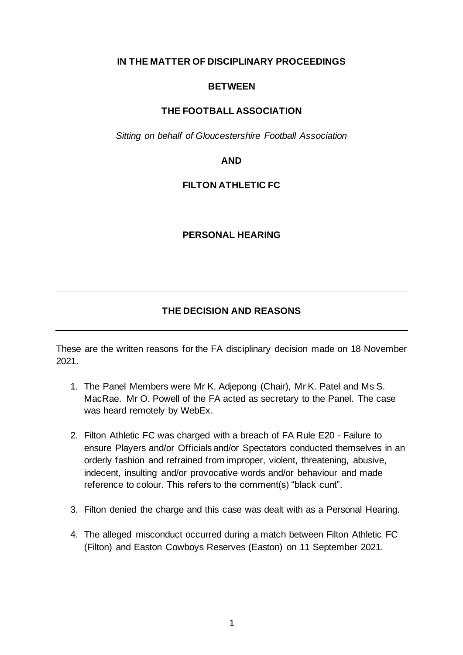**IN THE MATTER OF DISCIPLINARY PROCEEDINGS**

## **BETWEEN**

## **THE FOOTBALL ASSOCIATION**

*Sitting on behalf of Gloucestershire Football Association*

### **AND**

## **FILTON ATHLETIC FC**

### **PERSONAL HEARING**

# **THE DECISION AND REASONS**

These are the written reasons for the FA disciplinary decision made on 18 November 2021.

- 1. The Panel Members were Mr K. Adjepong (Chair), Mr K. Patel and Ms S. MacRae. Mr O. Powell of the FA acted as secretary to the Panel. The case was heard remotely by WebEx.
- 2. Filton Athletic FC was charged with a breach of FA Rule E20 Failure to ensure Players and/or Officials and/or Spectators conducted themselves in an orderly fashion and refrained from improper, violent, threatening, abusive, indecent, insulting and/or provocative words and/or behaviour and made reference to colour. This refers to the comment(s) "black cunt".
- 3. Filton denied the charge and this case was dealt with as a Personal Hearing.
- 4. The alleged misconduct occurred during a match between Filton Athletic FC (Filton) and Easton Cowboys Reserves (Easton) on 11 September 2021.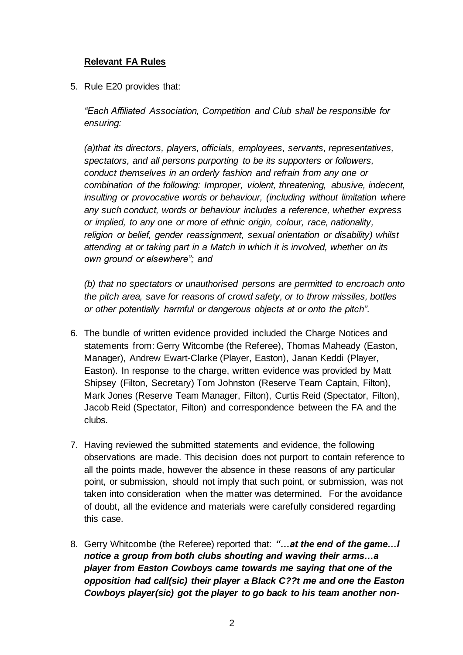## **Relevant FA Rules**

5. Rule E20 provides that:

*"Each Affiliated Association, Competition and Club shall be responsible for ensuring:*

*(a)that its directors, players, officials, employees, servants, representatives, spectators, and all persons purporting to be its supporters or followers, conduct themselves in an orderly fashion and refrain from any one or combination of the following: Improper, violent, threatening, abusive, indecent, insulting or provocative words or behaviour, (including without limitation where any such conduct, words or behaviour includes a reference, whether express or implied, to any one or more of ethnic origin, colour, race, nationality, religion or belief, gender reassignment, sexual orientation or disability) whilst attending at or taking part in a Match in which it is involved, whether on its own ground or elsewhere"; and* 

*(b) that no spectators or unauthorised persons are permitted to encroach onto the pitch area, save for reasons of crowd safety, or to throw missiles, bottles or other potentially harmful or dangerous objects at or onto the pitch".*

- 6. The bundle of written evidence provided included the Charge Notices and statements from: Gerry Witcombe (the Referee), Thomas Maheady (Easton, Manager), Andrew Ewart-Clarke (Player, Easton), Janan Keddi (Player, Easton). In response to the charge, written evidence was provided by Matt Shipsey (Filton, Secretary) Tom Johnston (Reserve Team Captain, Filton), Mark Jones (Reserve Team Manager, Filton), Curtis Reid (Spectator, Filton), Jacob Reid (Spectator, Filton) and correspondence between the FA and the clubs.
- 7. Having reviewed the submitted statements and evidence, the following observations are made. This decision does not purport to contain reference to all the points made, however the absence in these reasons of any particular point, or submission, should not imply that such point, or submission, was not taken into consideration when the matter was determined. For the avoidance of doubt, all the evidence and materials were carefully considered regarding this case.
- 8. Gerry Whitcombe (the Referee) reported that: *"…at the end of the game…I notice a group from both clubs shouting and waving their arms…a player from Easton Cowboys came towards me saying that one of the opposition had call(sic) their player a Black C??t me and one the Easton Cowboys player(sic) got the player to go back to his team another non-*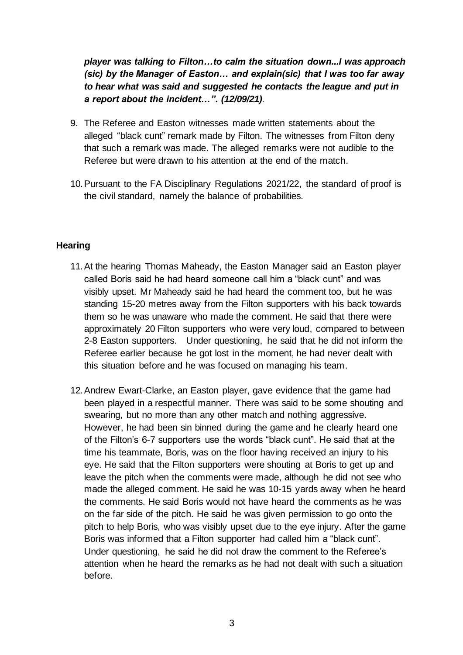*player was talking to Filton…to calm the situation down...I was approach (sic) by the Manager of Easton… and explain(sic) that I was too far away to hear what was said and suggested he contacts the league and put in a report about the incident…". (12/09/21).* 

- 9. The Referee and Easton witnesses made written statements about the alleged "black cunt" remark made by Filton. The witnesses from Filton deny that such a remark was made. The alleged remarks were not audible to the Referee but were drawn to his attention at the end of the match.
- 10.Pursuant to the FA Disciplinary Regulations 2021/22, the standard of proof is the civil standard, namely the balance of probabilities.

## **Hearing**

- 11.At the hearing Thomas Maheady, the Easton Manager said an Easton player called Boris said he had heard someone call him a "black cunt" and was visibly upset. Mr Maheady said he had heard the comment too, but he was standing 15-20 metres away from the Filton supporters with his back towards them so he was unaware who made the comment. He said that there were approximately 20 Filton supporters who were very loud, compared to between 2-8 Easton supporters. Under questioning, he said that he did not inform the Referee earlier because he got lost in the moment, he had never dealt with this situation before and he was focused on managing his team.
- 12.Andrew Ewart-Clarke, an Easton player, gave evidence that the game had been played in a respectful manner. There was said to be some shouting and swearing, but no more than any other match and nothing aggressive. However, he had been sin binned during the game and he clearly heard one of the Filton's 6-7 supporters use the words "black cunt". He said that at the time his teammate, Boris, was on the floor having received an injury to his eye. He said that the Filton supporters were shouting at Boris to get up and leave the pitch when the comments were made, although he did not see who made the alleged comment. He said he was 10-15 yards away when he heard the comments. He said Boris would not have heard the comments as he was on the far side of the pitch. He said he was given permission to go onto the pitch to help Boris, who was visibly upset due to the eye injury. After the game Boris was informed that a Filton supporter had called him a "black cunt". Under questioning, he said he did not draw the comment to the Referee's attention when he heard the remarks as he had not dealt with such a situation before.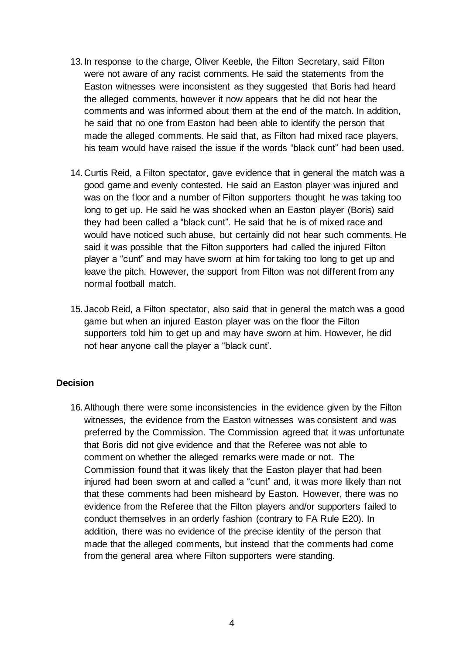- 13.In response to the charge, Oliver Keeble, the Filton Secretary, said Filton were not aware of any racist comments. He said the statements from the Easton witnesses were inconsistent as they suggested that Boris had heard the alleged comments, however it now appears that he did not hear the comments and was informed about them at the end of the match. In addition, he said that no one from Easton had been able to identify the person that made the alleged comments. He said that, as Filton had mixed race players, his team would have raised the issue if the words "black cunt" had been used.
- 14.Curtis Reid, a Filton spectator, gave evidence that in general the match was a good game and evenly contested. He said an Easton player was injured and was on the floor and a number of Filton supporters thought he was taking too long to get up. He said he was shocked when an Easton player (Boris) said they had been called a "black cunt". He said that he is of mixed race and would have noticed such abuse, but certainly did not hear such comments. He said it was possible that the Filton supporters had called the injured Filton player a "cunt" and may have sworn at him for taking too long to get up and leave the pitch. However, the support from Filton was not different from any normal football match.
- 15.Jacob Reid, a Filton spectator, also said that in general the match was a good game but when an injured Easton player was on the floor the Filton supporters told him to get up and may have sworn at him. However, he did not hear anyone call the player a "black cunt'.

#### **Decision**

16.Although there were some inconsistencies in the evidence given by the Filton witnesses, the evidence from the Easton witnesses was consistent and was preferred by the Commission. The Commission agreed that it was unfortunate that Boris did not give evidence and that the Referee was not able to comment on whether the alleged remarks were made or not. The Commission found that it was likely that the Easton player that had been injured had been sworn at and called a "cunt" and, it was more likely than not that these comments had been misheard by Easton. However, there was no evidence from the Referee that the Filton players and/or supporters failed to conduct themselves in an orderly fashion (contrary to FA Rule E20). In addition, there was no evidence of the precise identity of the person that made that the alleged comments, but instead that the comments had come from the general area where Filton supporters were standing.